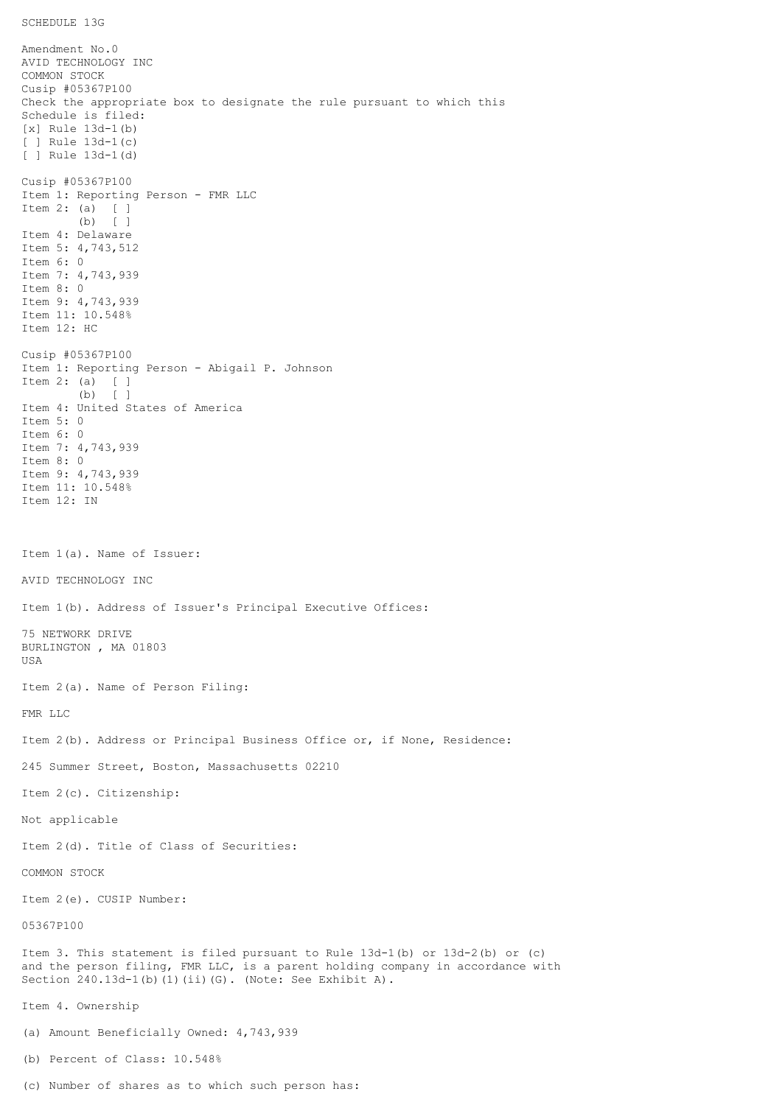SCHEDULE 13G

Amendment No.0 AVID TECHNOLOGY INC COMMON STOCK Cusip #05367P100 Check the appropriate box to designate the rule pursuant to which this Schedule is filed: [x] Rule 13d-1(b) [ ] Rule 13d-1(c) [ ] Rule 13d-1(d) Cusip #05367P100 Item 1: Reporting Person - FMR LLC Item 2: (a) [ ] (b) [ ] Item 4: Delaware Item 5: 4,743,512 Item 6: 0 Item 7: 4,743,939 Item 8: 0 Item 9: 4,743,939 Item 11: 10.548% Item 12: HC Cusip #05367P100 Item 1: Reporting Person - Abigail P. Johnson Item 2: (a) [ ] (b) [ ] Item 4: United States of America Item 5: 0 Item 6: 0 Item 7: 4,743,939 Item 8: 0 Item 9: 4,743,939 Item 11: 10.548% Item 12: IN Item 1(a). Name of Issuer: AVID TECHNOLOGY INC Item 1(b). Address of Issuer's Principal Executive Offices: 75 NETWORK DRIVE BURLINGTON , MA 01803 USA Item 2(a). Name of Person Filing: FMR LLC Item 2(b). Address or Principal Business Office or, if None, Residence: 245 Summer Street, Boston, Massachusetts 02210 Item 2(c). Citizenship: Not applicable Item 2(d). Title of Class of Securities: COMMON STOCK Item 2(e). CUSIP Number: 05367P100 Item 3. This statement is filed pursuant to Rule 13d-1(b) or 13d-2(b) or (c) and the person filing, FMR LLC, is a parent holding company in accordance with Section 240.13d-1(b)(1)(ii)(G). (Note: See Exhibit A). Item 4. Ownership (a) Amount Beneficially Owned: 4,743,939 (b) Percent of Class: 10.548%

(c) Number of shares as to which such person has: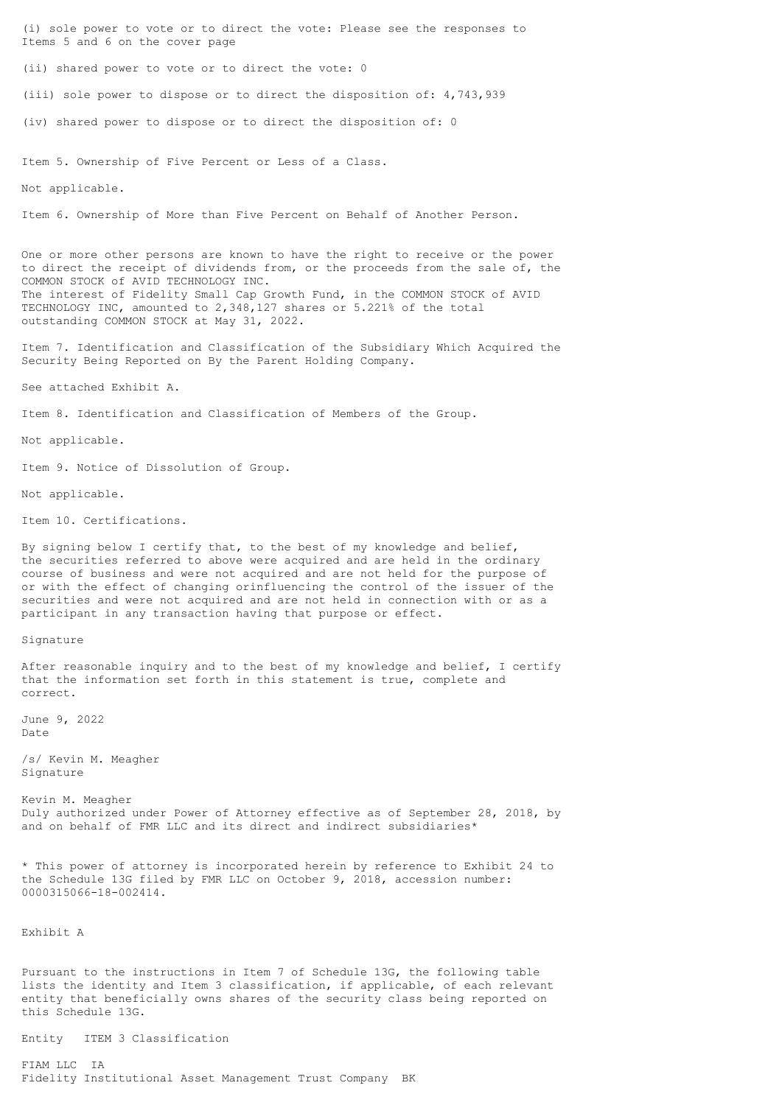(i) sole power to vote or to direct the vote: Please see the responses to Items 5 and 6 on the cover page (ii) shared power to vote or to direct the vote: 0 (iii) sole power to dispose or to direct the disposition of: 4,743,939 (iv) shared power to dispose or to direct the disposition of: 0 Item 5. Ownership of Five Percent or Less of a Class. Not applicable. Item 6. Ownership of More than Five Percent on Behalf of Another Person. One or more other persons are known to have the right to receive or the power to direct the receipt of dividends from, or the proceeds from the sale of, the COMMON STOCK of AVID TECHNOLOGY INC. The interest of Fidelity Small Cap Growth Fund, in the COMMON STOCK of AVID TECHNOLOGY INC, amounted to 2,348,127 shares or 5.221% of the total outstanding COMMON STOCK at May 31, 2022. Item 7. Identification and Classification of the Subsidiary Which Acquired the Security Being Reported on By the Parent Holding Company. See attached Exhibit A. Item 8. Identification and Classification of Members of the Group. Not applicable. Item 9. Notice of Dissolution of Group. Not applicable. Item 10. Certifications. By signing below I certify that, to the best of my knowledge and belief, the securities referred to above were acquired and are held in the ordinary course of business and were not acquired and are not held for the purpose of or with the effect of changing orinfluencing the control of the issuer of the securities and were not acquired and are not held in connection with or as a participant in any transaction having that purpose or effect. Signature After reasonable inquiry and to the best of my knowledge and belief, I certify that the information set forth in this statement is true, complete and correct. June 9, 2022 Date /s/ Kevin M. Meagher Signature Kevin M. Meagher Duly authorized under Power of Attorney effective as of September 28, 2018, by and on behalf of FMR LLC and its direct and indirect subsidiaries\* \* This power of attorney is incorporated herein by reference to Exhibit 24 to the Schedule 13G filed by FMR LLC on October 9, 2018, accession number: 0000315066-18-002414. Exhibit A Pursuant to the instructions in Item 7 of Schedule 13G, the following table

lists the identity and Item 3 classification, if applicable, of each relevant entity that beneficially owns shares of the security class being reported on this Schedule 13G.

Entity ITEM 3 Classification

FIAM LLC IA Fidelity Institutional Asset Management Trust Company BK